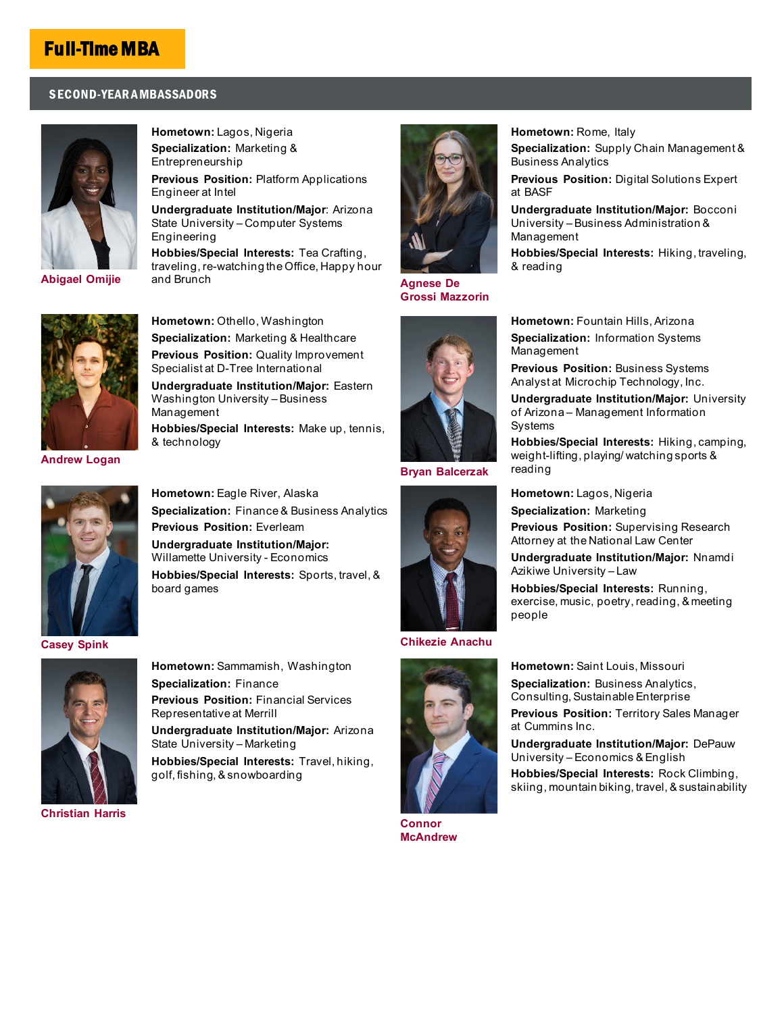## Full-Time MBA

## SECOND-YEAR A MBASSADORS



**Specialization:** Marketing & Entrepreneurship **Previous Position:** Platform Applications Engineer at Intel **Undergraduate Institution/Major**: Arizona State University – Computer Systems Engineering

**Hobbies/Special Interests:** Tea Crafting, traveling, re-watching the Office, Happy hour

**Hometown:** Lagos, Nigeria

**[Abigael Omijie](mailto:wpcareymasters@asu.edu?subject=Question%20for%20Abigael%20Omijie%20-%20Full-time%20MBA%20Ambassador)**



**Hometown:** Othello, Washington **Specialization:** Marketing & Healthcare **Previous Position:** Quality Improvement Specialist at D-Tree International **Undergraduate Institution/Major:** Eastern

Washington University – Business Management **Hobbies/Special Interests:** Make up, tennis, & technology

**[Andrew Logan](mailto:wpcareymasters@asu.edu?subject=Question%20for%20Andrew%20Logan%20-%20Full-time%20MBA%20Ambassador)**



**Hometown:** Eagle River, Alaska **Specialization:** Finance & Business Analytics **Previous Position:** Everleam **Undergraduate Institution/Major:** Willamette University - Economics **Hobbies/Special Interests:** Sports, travel, & board games





**[Christian Harris](mailto:wpcareymasters@asu.edu?subject=Question%20for%20Christian%20Harris%20-%20Full-time%20MBA%20Ambassador)**

**Hometown:** Sammamish, Washington **Specialization:** Finance **Previous Position:** Financial Services Representative at Merrill **Undergraduate Institution/Major:** Arizona State University – Marketing

**Hobbies/Special Interests:** Travel, hiking, golf, fishing, & snowboarding



**Agnese De [Grossi Mazzorin](mailto:wpcareymasters@asu.edu?subject=Question%20for%20Agnese%20Mazzorin%20%20-%20Full-time%20MBA%20Ambassador)**



**[Bryan Balcerzak](mailto:wpcareymasters@asu.edu?subject=Question%20for%20Bryan%20Balcerzak%20-%20Full-time%20MBA%20Ambassador)**



## **[Chikezie Anachu](mailto:wpcareymasters@asu.edu?subject=Question%20for%20Chikezie%20Anachu%20-%20Full-time%20MBA%20Ambassador)**



**Hometown:** Rome, Italy **Specialization:** Supply Chain Management & Business Analytics

**Previous Position:** Digital Solutions Expert at BASF

**Undergraduate Institution/Major:** Bocconi University – Business Administration & Management

**Hobbies/Special Interests:** Hiking, traveling, & reading

**Hometown:** Fountain Hills, Arizona **Specialization:** Information Systems Management

**Previous Position:** Business Systems Analyst at Microchip Technology, Inc.

**Undergraduate Institution/Major:** University of Arizona – Management Information Systems

**Hobbies/Special Interests:** Hiking, camping, weight-lifting, playing/ watching sports & reading

**Hometown:** Lagos, Nigeria

**Specialization:** Marketing

**Previous Position:** Supervising Research Attorney at the National Law Center

**Undergraduate Institution/Major:** Nnamdi Azikiwe University – Law

**Hobbies/Special Interests:** Running, exercise, music, poetry, reading, & meeting people

**Hometown:** Saint Louis, Missouri **Specialization:** Business Analytics,

> Consulting, Sustainable Enterprise **Previous Position:** Territory Sales Manager at Cummins Inc.

**Undergraduate Institution/Major:** DePauw University – Economics & English

**Hobbies/Special Interests:** Rock Climbing, skiing, mountain biking, travel, & sustainability

**[Connor](mailto:wpcareymasters@asu.edu?subject=Question%20for%20Connor%20McAndrew%20-%20Full-time%20MBA%20Ambassador)  [McAndrew](mailto:wpcareymasters@asu.edu?subject=Question%20for%20Connor%20McAndrew%20-%20Full-time%20MBA%20Ambassador)**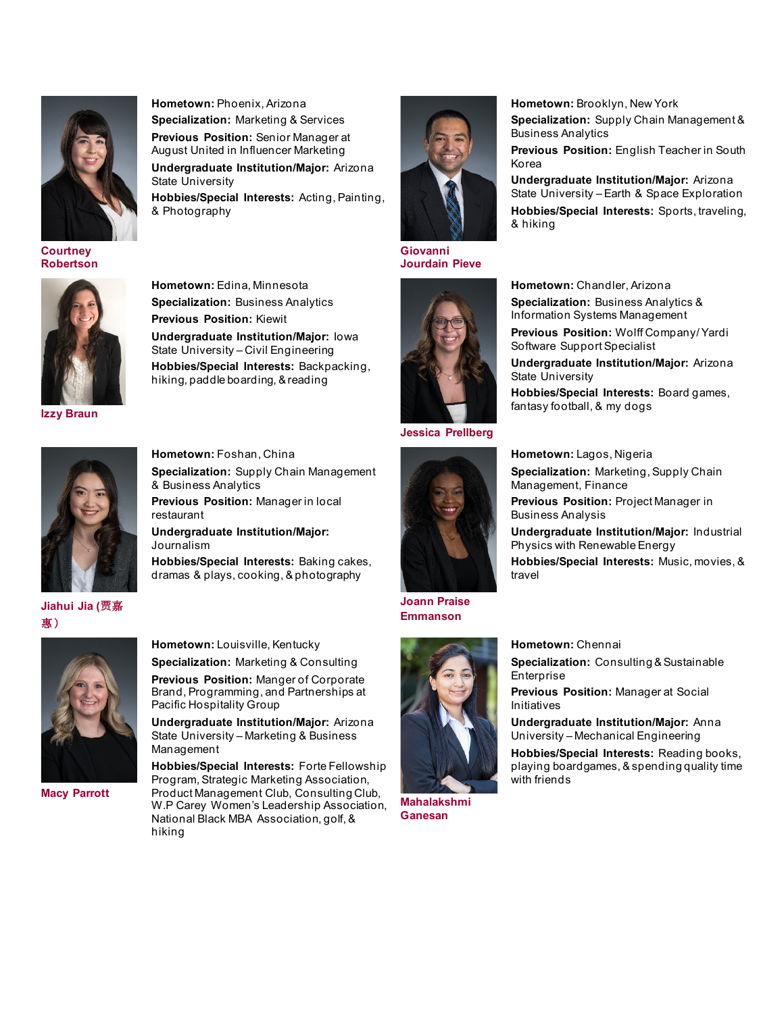

**[Courtney](mailto:wpcareymasters@asu.edu?subject=Question%20for%20Courtney%20Robertson%20-%20Full-time%20MBA%20Ambassador)  [Robertson](mailto:wpcareymasters@asu.edu?subject=Question%20for%20Courtney%20Robertson%20-%20Full-time%20MBA%20Ambassador)**



**[Izzy Braun](mailto:wpcareymasters@asu.edu?subject=Question%20for%20Izzy%20Braun%20-%20Full-time%20MBA%20Ambassador)**



**[Jiahui Jia \(](mailto:wpcareymasters@asu.edu?subject=Question%20for%20Jiahui%20Jia%20-%20Full-time%20MBA%20Ambassador)贾**[嘉](mailto:wpcareymasters@asu.edu?subject=Question%20for%20Jiahui%20Jia%20-%20Full-time%20MBA%20Ambassador) [惠 \)](mailto:wpcareymasters@asu.edu?subject=Question%20for%20Jiahui%20Jia%20-%20Full-time%20MBA%20Ambassador)



**[Macy Parrott](mailto:wpcareymasters@asu.edu?subject=Question%20for%20Macy%20Parrott%20-%20Full-time%20MBA%20Ambassador)**

**Hometown:** Phoenix, Arizona **Specialization:** Marketing & Services **Previous Position:** Senior Manager at August United in Influencer Marketing **Undergraduate Institution/Major:** Arizona State University **Hobbies/Special Interests:** Acting, Painting, & Photography

**Hometown:** Edina, Minnesota **Specialization:** Business Analytics

**Undergraduate Institution/Major:** Iowa State University – Civil Engineering **Hobbies/Special Interests:** Backpacking, hiking, paddle boarding, & reading

dramas & plays, cooking, & photography

**Undergraduate Institution/Major:** Arizona State University – Marketing & Business

**Hobbies/Special Interests:** Forte Fellowship Program, Strategic Marketing Association, Product Management Club, Consulting Club, W.P Carey Women's Leadership Association, National Black MBA Association, golf, &

**Hometown:** Louisville, Kentucky **Specialization:** Marketing & Consulting **Previous Position:** Manger of Corporate Brand, Programming, and Partnerships at

Pacific Hospitality Group

Management

hiking

**Previous Position:** Kiewit



**[Giovanni](mailto:wpcareymasters@asu.edu?subject=Question%20for%20Giovanni%20Jourdain%20Pieve%20-%20Full-time%20MBA%20Ambassador)  [Jourdain Pieve](mailto:wpcareymasters@asu.edu?subject=Question%20for%20Giovanni%20Jourdain%20Pieve%20-%20Full-time%20MBA%20Ambassador)**





**[Joann Praise](mailto:wpcareymasters@asu.edu?subject=Question%20for%20Joann%20Praise%20Emmanson%20-%20Full-time%20MBA%20Ambassador)** 

**[Emmanson](mailto:wpcareymasters@asu.edu?subject=Question%20for%20Joann%20Praise%20Emmanson%20-%20Full-time%20MBA%20Ambassador)**



**[Mahalakshmi](mailto:wpcareymasters@asu.edu?subject=Question%20for%20Mahalakshmi%20Ganesan%20-%20Full-time%20MBA%20Ambassador)  [Ganesan](mailto:wpcareymasters@asu.edu?subject=Question%20for%20Mahalakshmi%20Ganesan%20-%20Full-time%20MBA%20Ambassador)**

**Hometown:** Brooklyn, New York **Specialization:** Supply Chain Management & Business Analytics

**Previous Position:** English Teacher in South Korea

**Undergraduate Institution/Major:** Arizona State University – Earth & Space Exploration **Hobbies/Special Interests:** Sports, traveling, & hiking

**Hometown:** Chandler, Arizona **Specialization:** Business Analytics &

Information Systems Management **Previous Position:** Wolff Company/ Yardi Software Support Specialist

**Undergraduate Institution/Major:** Arizona State University

**Hobbies/Special Interests:** Board games, fantasy football, & my dogs

**Hometown:** Lagos, Nigeria

**Specialization:** Marketing, Supply Chain Management, Finance

**Previous Position:** Project Manager in Business Analysis

**Undergraduate Institution/Major:** Industrial Physics with Renewable Energy **Hobbies/Special Interests:** Music, movies, &

travel

**Hometown:** Chennai

**Specialization: Consulting & Sustainable** Enterprise

**Previous Position:** Manager at Social Initiatives

**Undergraduate Institution/Major:** Anna University – Mechanical Engineering

**Hobbies/Special Interests:** Reading books, playing boardgames, & spending quality time with friends





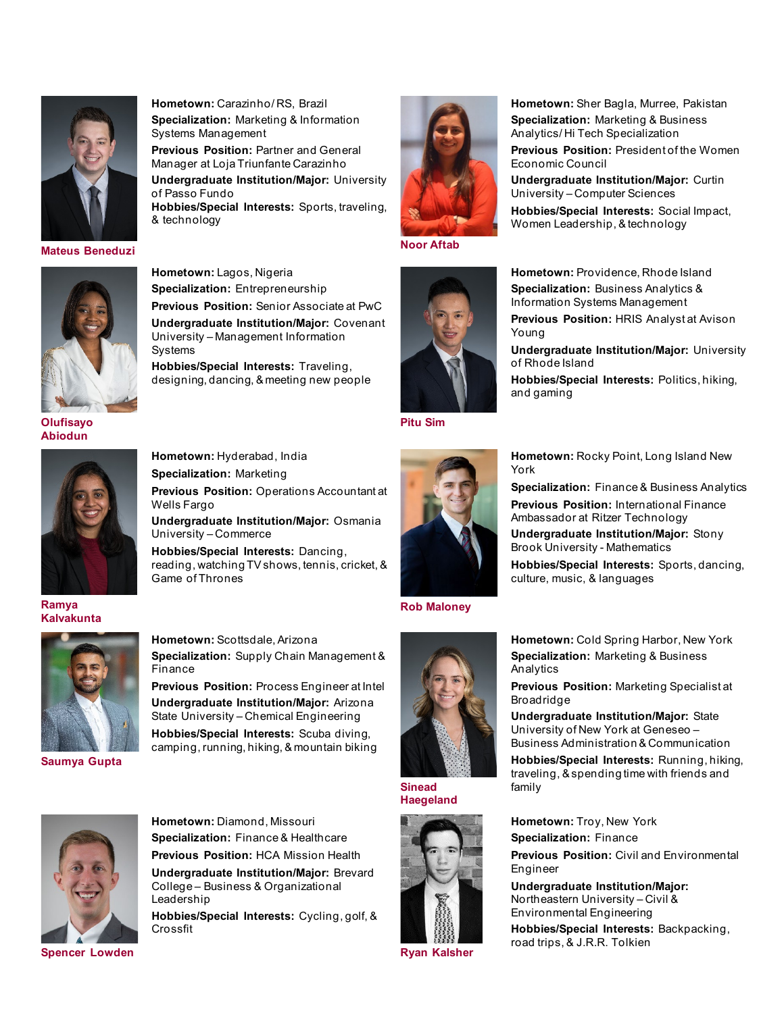

**[Mateus Beneduzi](mailto:wpcareymasters@asu.edu?subject=Question%20for%20Mateus%20Beneduzi%20-%20Full-time%20MBA%20Ambassador)**



**Hometown:** Lagos, Nigeria **Specialization:** Entrepreneurship **Previous Position:** Senior Associate at PwC **Undergraduate Institution/Major:** Covenant University – Management Information Systems **Hobbies/Special Interests:** Traveling,

**Hometown:** Carazinho/ RS, Brazil **Specialization:** Marketing & Information

**Previous Position:** Partner and General Manager at Loja Triunfante Carazinho

**Undergraduate Institution/Major:** University

**Hobbies/Special Interests:** Sports, traveling,

Systems Management

of Passo Fundo

& technology

designing, dancing, & meeting new people

**Hometown:** Hyderabad, India **Specialization:** Marketing

University – Commerce

Game of Thrones

Wells Fargo



**[Noor Aftab](mailto:wpcareymasters@asu.edu?subject=Question%20for%20Noor%20Aftab%20-%20Full-time%20MBA%20Ambassador)**



**[Pitu Sim](mailto:wpcareymasters@asu.edu?subject=Question%20for%20Pitu%20Sim%20-%20Full-time%20MBA%20Ambassador)**



**Hometown:** Rocky Point, Long Island New York

**Hometown:** Sher Bagla, Murree, Pakistan **Specialization:** Marketing & Business Analytics/ Hi Tech Specialization

**Previous Position:** President of the Women

**Undergraduate Institution/Major:** Curtin

**Hobbies/Special Interests:** Social Impact,

**Hometown:** Providence, Rhode Island **Specialization:** Business Analytics & Information Systems Management

**Previous Position:** HRIS Analyst at Avison

**Undergraduate Institution/Major:** University

**Hobbies/Special Interests:** Politics, hiking,

University – Computer Sciences

Women Leadership, & technology

Economic Council

Young

of Rhode Island

and gaming

**Specialization:** Finance & Business Analytics **Previous Position:** International Finance Ambassador at Ritzer Technology

**Undergraduate Institution/Major:** Stony Brook University - Mathematics

**Hobbies/Special Interests:** Sports, dancing, culture, music, & languages

**[Ramya](mailto:wpcareymasters@asu.edu?subject=Question%20for%20Ramya%20Kalvakunta%20-%20Full-time%20MBA%20Ambassador)  [Kalvakunta](mailto:wpcareymasters@asu.edu?subject=Question%20for%20Ramya%20Kalvakunta%20-%20Full-time%20MBA%20Ambassador)**

**[Abiodun](mailto:wpcareymasters@asu.edu?subject=Question%20for%20Olufisayo%20Abiodun%20-%20Full-time%20MBA%20Ambassador)**



**[Saumya Gupta](mailto:wpcareymasters@asu.edu?subject=Question%20for%20Saumya%20Gupta%20-%20Full-time%20MBA%20Ambassador)**

**Hometown:** Scottsdale, Arizona **Specialization:** Supply Chain Management & Finance

**Previous Position:** Process Engineer at Intel **Undergraduate Institution/Major:** Arizona State University – Chemical Engineering **Hobbies/Special Interests:** Scuba diving, camping, running, hiking, & mountain biking



**[Sinead](mailto:wpcareymasters@asu.edu?subject=Question%20for%20Sinead%20Haegeland%20-%20Full-time%20MBA%20Ambassador)  [Haegeland](mailto:wpcareymasters@asu.edu?subject=Question%20for%20Sinead%20Haegeland%20-%20Full-time%20MBA%20Ambassador)**



**[Ryan Kalsher](mailto:wpcareymasters@asu.edu?subject=Question%20for%20Ryan%20Kalsher%20-%20Full-time%20MBA%20Ambassador)**

**Hometown:** Cold Spring Harbor, New York **Specialization:** Marketing & Business Analytics

**Previous Position:** Marketing Specialist at Broadridge

**Undergraduate Institution/Major:** State University of New York at Geneseo – Business Administration & Communication

**Hobbies/Special Interests:** Running, hiking, traveling, & spending time with friends and family

**Hometown:** Troy, New York **Specialization:** Finance

**Previous Position:** Civil and Environmental Engineer

**Undergraduate Institution/Major:** Northeastern University – Civil & Environmental Engineering

**Hobbies/Special Interests:** Backpacking, road trips, & J.R.R. Tolkien

**Hometown:** Diamond, Missouri **Specialization:** Finance & Healthcare **Previous Position:** HCA Mission Health **Undergraduate Institution/Major:** Brevard

College – Business & Organizational Leadership

**Hobbies/Special Interests:** Cycling, golf, & Crossfit

**[Spencer Lowden](mailto:wpcareymasters@asu.edu?subject=Question%20for%20Spencer%20Lowden%20-%20Full-time%20MBA%20Ambassador)**